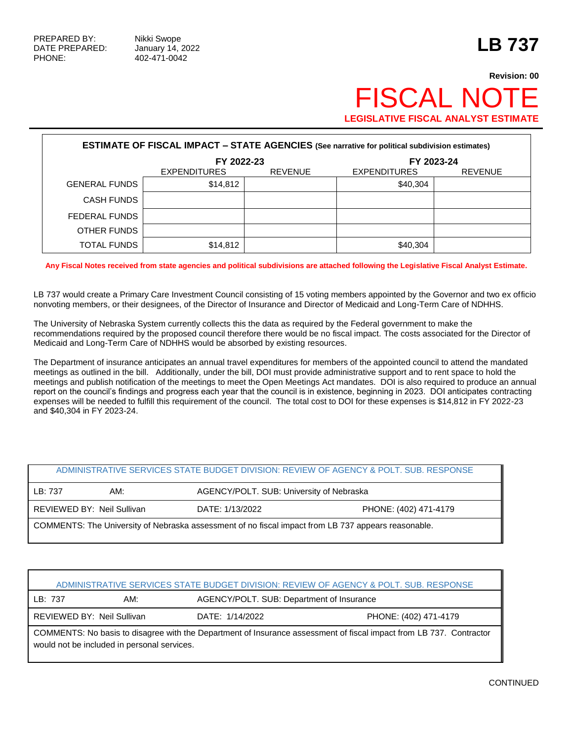# **Revision: 00** FISCAL NOT **LEGISLATIVE FISCAL ANALYST ESTIMATE**

| <b>ESTIMATE OF FISCAL IMPACT - STATE AGENCIES (See narrative for political subdivision estimates)</b> |                     |                          |                     |                |  |  |
|-------------------------------------------------------------------------------------------------------|---------------------|--------------------------|---------------------|----------------|--|--|
|                                                                                                       |                     | FY 2022-23<br>FY 2023-24 |                     |                |  |  |
|                                                                                                       | <b>EXPENDITURES</b> | <b>REVENUE</b>           | <b>EXPENDITURES</b> | <b>REVENUE</b> |  |  |
| <b>GENERAL FUNDS</b>                                                                                  | \$14,812            |                          | \$40,304            |                |  |  |
| <b>CASH FUNDS</b>                                                                                     |                     |                          |                     |                |  |  |
| FEDERAL FUNDS                                                                                         |                     |                          |                     |                |  |  |
| OTHER FUNDS                                                                                           |                     |                          |                     |                |  |  |
| <b>TOTAL FUNDS</b>                                                                                    | \$14,812            |                          | \$40,304            |                |  |  |

**Any Fiscal Notes received from state agencies and political subdivisions are attached following the Legislative Fiscal Analyst Estimate.**

LB 737 would create a Primary Care Investment Council consisting of 15 voting members appointed by the Governor and two ex officio nonvoting members, or their designees, of the Director of Insurance and Director of Medicaid and Long-Term Care of NDHHS.

The University of Nebraska System currently collects this the data as required by the Federal government to make the recommendations required by the proposed council therefore there would be no fiscal impact. The costs associated for the Director of Medicaid and Long-Term Care of NDHHS would be absorbed by existing resources.

The Department of insurance anticipates an annual travel expenditures for members of the appointed council to attend the mandated meetings as outlined in the bill. Additionally, under the bill, DOI must provide administrative support and to rent space to hold the meetings and publish notification of the meetings to meet the Open Meetings Act mandates. DOI is also required to produce an annual report on the council's findings and progress each year that the council is in existence, beginning in 2023. DOI anticipates contracting expenses will be needed to fulfill this requirement of the council. The total cost to DOI for these expenses is \$14,812 in FY 2022-23 and \$40,304 in FY 2023-24.

| ADMINISTRATIVE SERVICES STATE BUDGET DIVISION: REVIEW OF AGENCY & POLT. SUB. RESPONSE               |                            |                                          |                       |  |
|-----------------------------------------------------------------------------------------------------|----------------------------|------------------------------------------|-----------------------|--|
| LB: 737                                                                                             | AM:                        | AGENCY/POLT. SUB: University of Nebraska |                       |  |
|                                                                                                     | REVIEWED BY: Neil Sullivan | DATE: 1/13/2022                          | PHONE: (402) 471-4179 |  |
| COMMENTS: The University of Nebraska assessment of no fiscal impact from LB 737 appears reasonable. |                            |                                          |                       |  |

| ADMINISTRATIVE SERVICES STATE BUDGET DIVISION: REVIEW OF AGENCY & POLT. SUB. RESPONSE                                                                              |     |                                           |                       |  |  |
|--------------------------------------------------------------------------------------------------------------------------------------------------------------------|-----|-------------------------------------------|-----------------------|--|--|
| LB: 737                                                                                                                                                            | AM: | AGENCY/POLT. SUB: Department of Insurance |                       |  |  |
| REVIEWED BY: Neil Sullivan                                                                                                                                         |     | DATE: 1/14/2022                           | PHONE: (402) 471-4179 |  |  |
| COMMENTS: No basis to disagree with the Department of Insurance assessment of fiscal impact from LB 737. Contractor<br>would not be included in personal services. |     |                                           |                       |  |  |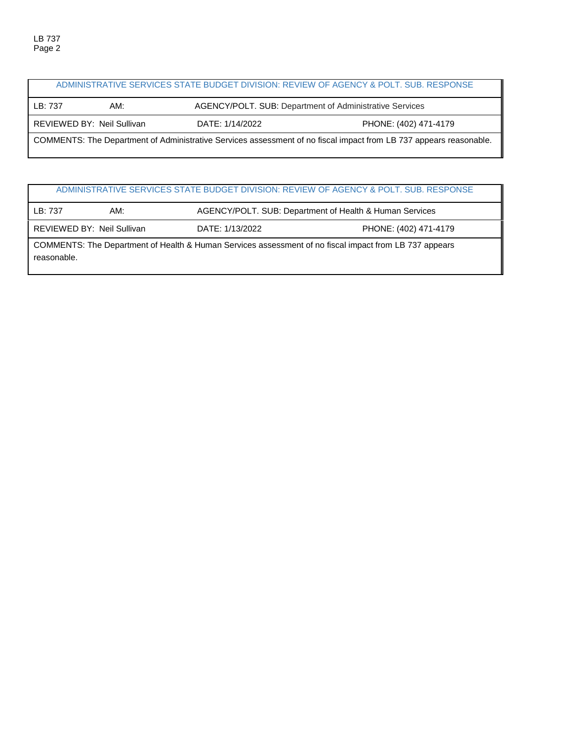|         |                            |                                                         | ADMINISTRATIVE SERVICES STATE BUDGET DIVISION: REVIEW OF AGENCY & POLT. SUB. RESPONSE                              |
|---------|----------------------------|---------------------------------------------------------|--------------------------------------------------------------------------------------------------------------------|
| LB: 737 | AM:                        | AGENCY/POLT. SUB: Department of Administrative Services |                                                                                                                    |
|         | REVIEWED BY: Neil Sullivan | DATE: 1/14/2022                                         | PHONE: (402) 471-4179                                                                                              |
|         |                            |                                                         | COMMENTS: The Department of Administrative Services assessment of no fiscal impact from LB 737 appears reasonable. |

# ADMINISTRATIVE SERVICES STATE BUDGET DIVISION: REVIEW OF AGENCY & POLT. SUB. RESPONSE

| LB: 737     | AM:                        |                                                                                                        | AGENCY/POLT. SUB: Department of Health & Human Services |  |  |
|-------------|----------------------------|--------------------------------------------------------------------------------------------------------|---------------------------------------------------------|--|--|
|             | REVIEWED BY: Neil Sullivan | DATE: 1/13/2022                                                                                        | PHONE: (402) 471-4179                                   |  |  |
| reasonable. |                            | COMMENTS: The Department of Health & Human Services assessment of no fiscal impact from LB 737 appears |                                                         |  |  |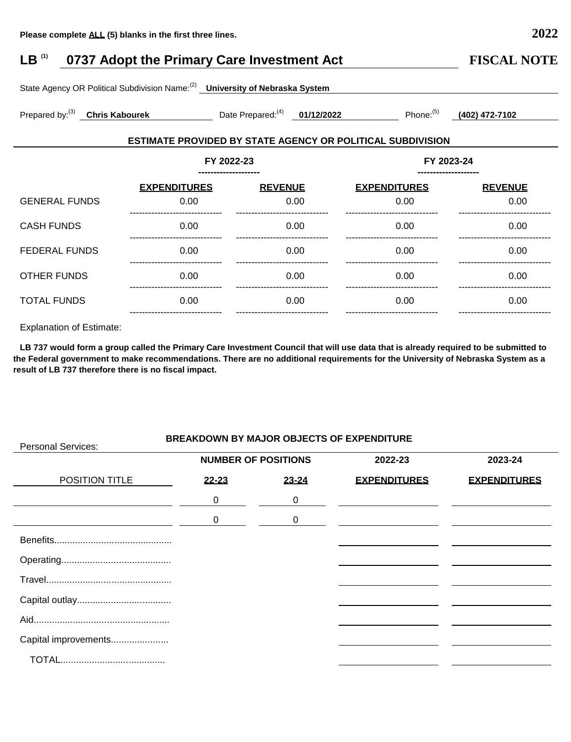FEDERAL FUNDS 0.00

OTHER FUNDS 0.00

Personal Services:

------------------------------

------------------------------

### **LB (1) 0737 Adopt the Primary Care Investment Act FISCAL NOTE** State Agency OR Political Subdivision Name:(2) **University of Nebraska System** Prepared by:(3) **Chris Kabourek** Date Prepared:(4) **01/12/2022** Phone:(5) **(402) 472-7102 ESTIMATE PROVIDED BY STATE AGENCY OR POLITICAL SUBDIVISION FY 2022-23 -------------------- FY 2023-24 -------------------- EXPENDITURES REVENUE** GENERAL FUNDS 0.00 --------------------------- 0.00 ------------------------------ CASH FUNDS 0.00 0.00 **EXPENDITURES REVENUE** 0.00 ------------------------------ 0.00 ------------------------------ 0.00 0.00

|                                 | ------------------------------- | ------------------------------- | ------------------------------- | ------------------------------- |
|---------------------------------|---------------------------------|---------------------------------|---------------------------------|---------------------------------|
| <b>TOTAL FUNDS</b>              | 0.00                            | 0.00                            | 0.00                            | 0.00                            |
| <b>Explanation of Estimate:</b> | ------------------------------- | ------------------------------- | ------------------------------- | ------------------------------  |
|                                 |                                 |                                 |                                 |                                 |

------------------------------

 0.00 ------------------------------ ------------------------------

 0.00 ------------------------------

0.00

0.00

**LB 737 would form a group called the Primary Care Investment Council that will use data that is already required to be submitted to the Federal government to make recommendations. There are no additional requirements for the University of Nebraska System as a result of LB 737 therefore there is no fiscal impact.**

## **BREAKDOWN BY MAJOR OBJECTS OF EXPENDITURE**

| Personal Services.   |           |                            |                     |                     |
|----------------------|-----------|----------------------------|---------------------|---------------------|
|                      |           | <b>NUMBER OF POSITIONS</b> | 2022-23             | 2023-24             |
| POSITION TITLE       | $22 - 23$ | $23 - 24$                  | <b>EXPENDITURES</b> | <b>EXPENDITURES</b> |
|                      | 0         | 0                          |                     |                     |
|                      | 0         | 0                          |                     |                     |
|                      |           |                            |                     |                     |
|                      |           |                            |                     |                     |
|                      |           |                            |                     |                     |
|                      |           |                            |                     |                     |
|                      |           |                            |                     |                     |
| Capital improvements |           |                            |                     |                     |
|                      |           |                            |                     |                     |

------------------------------

 0.00 ------------------------------

0.00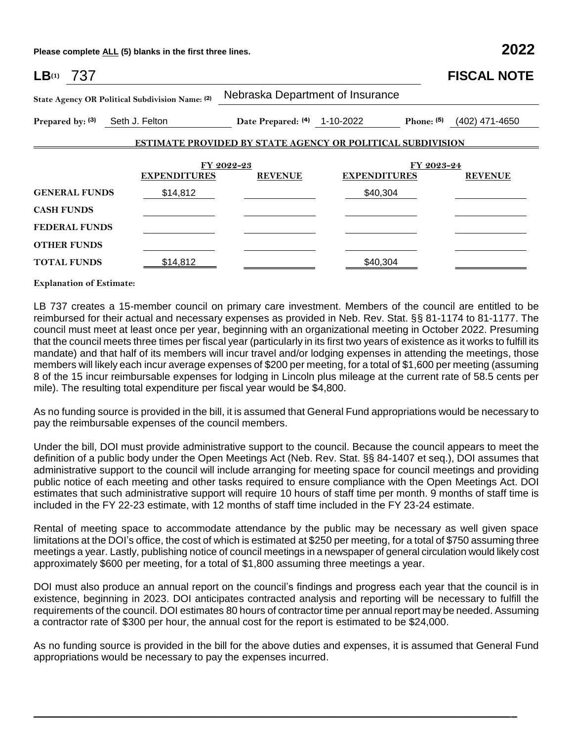**Please complete ALL (5) blanks in the first three lines. 2022**

| LB(1)<br>737                    |                                                 |                                                                   |                     |            | <b>FISCAL NOTE</b> |
|---------------------------------|-------------------------------------------------|-------------------------------------------------------------------|---------------------|------------|--------------------|
|                                 | State Agency OR Political Subdivision Name: (2) | Nebraska Department of Insurance                                  |                     |            |                    |
| Prepared by: (3) Seth J. Felton |                                                 | Date Prepared: (4) 1-10-2022                                      |                     | Phone: (5) | (402) 471-4650     |
|                                 |                                                 | <b>ESTIMATE PROVIDED BY STATE AGENCY OR POLITICAL SUBDIVISION</b> |                     |            |                    |
|                                 |                                                 | FY 2022-23                                                        |                     | FY 2023-24 |                    |
|                                 | <b>EXPENDITURES</b>                             | <b>REVENUE</b>                                                    | <b>EXPENDITURES</b> |            | <b>REVENUE</b>     |
| <b>GENERAL FUNDS</b>            | \$14,812                                        |                                                                   | \$40,304            |            |                    |
| <b>CASH FUNDS</b>               |                                                 |                                                                   |                     |            |                    |
| <b>FEDERAL FUNDS</b>            |                                                 |                                                                   |                     |            |                    |
| <b>OTHER FUNDS</b>              |                                                 |                                                                   |                     |            |                    |
| <b>TOTAL FUNDS</b>              | \$14,812                                        |                                                                   | \$40,304            |            |                    |

**Explanation of Estimate:**

LB 737 creates a 15-member council on primary care investment. Members of the council are entitled to be reimbursed for their actual and necessary expenses as provided in Neb. Rev. Stat. §§ 81-1174 to 81-1177. The council must meet at least once per year, beginning with an organizational meeting in October 2022. Presuming that the council meets three times per fiscal year (particularly in its first two years of existence as it works to fulfill its mandate) and that half of its members will incur travel and/or lodging expenses in attending the meetings, those members will likely each incur average expenses of \$200 per meeting, for a total of \$1,600 per meeting (assuming 8 of the 15 incur reimbursable expenses for lodging in Lincoln plus mileage at the current rate of 58.5 cents per mile). The resulting total expenditure per fiscal year would be \$4,800.

As no funding source is provided in the bill, it is assumed that General Fund appropriations would be necessary to pay the reimbursable expenses of the council members.

Under the bill, DOI must provide administrative support to the council. Because the council appears to meet the definition of a public body under the Open Meetings Act (Neb. Rev. Stat. §§ 84-1407 et seq.), DOI assumes that administrative support to the council will include arranging for meeting space for council meetings and providing public notice of each meeting and other tasks required to ensure compliance with the Open Meetings Act. DOI estimates that such administrative support will require 10 hours of staff time per month. 9 months of staff time is included in the FY 22-23 estimate, with 12 months of staff time included in the FY 23-24 estimate.

Rental of meeting space to accommodate attendance by the public may be necessary as well given space limitations at the DOI's office, the cost of which is estimated at \$250 per meeting, for a total of \$750 assuming three meetings a year. Lastly, publishing notice of council meetings in a newspaper of general circulation would likely cost approximately \$600 per meeting, for a total of \$1,800 assuming three meetings a year.

DOI must also produce an annual report on the council's findings and progress each year that the council is in existence, beginning in 2023. DOI anticipates contracted analysis and reporting will be necessary to fulfill the requirements of the council. DOI estimates 80 hours of contractor time per annual report may be needed. Assuming a contractor rate of \$300 per hour, the annual cost for the report is estimated to be \$24,000.

As no funding source is provided in the bill for the above duties and expenses, it is assumed that General Fund appropriations would be necessary to pay the expenses incurred.

 $\mathcal{L}_\mathcal{L} = \{ \mathcal{L}_\mathcal{L} = \{ \mathcal{L}_\mathcal{L} = \{ \mathcal{L}_\mathcal{L} = \{ \mathcal{L}_\mathcal{L} = \{ \mathcal{L}_\mathcal{L} = \{ \mathcal{L}_\mathcal{L} = \{ \mathcal{L}_\mathcal{L} = \{ \mathcal{L}_\mathcal{L} = \{ \mathcal{L}_\mathcal{L} = \{ \mathcal{L}_\mathcal{L} = \{ \mathcal{L}_\mathcal{L} = \{ \mathcal{L}_\mathcal{L} = \{ \mathcal{L}_\mathcal{L} = \{ \mathcal{L}_\mathcal{$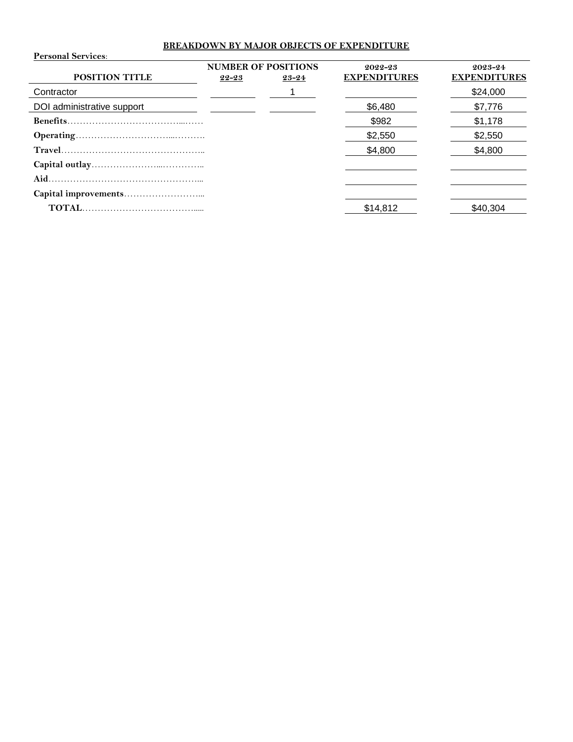# **BREAKDOWN BY MAJOR OBJECTS OF EXPENDITURE**

| <b>Personal Services:</b>  |           |                                     |                                |                                |
|----------------------------|-----------|-------------------------------------|--------------------------------|--------------------------------|
| <b>POSITION TITLE</b>      | $22 - 23$ | <b>NUMBER OF POSITIONS</b><br>23-24 | 2022-23<br><b>EXPENDITURES</b> | 2023-24<br><b>EXPENDITURES</b> |
| Contractor                 |           |                                     |                                | \$24,000                       |
| DOI administrative support |           |                                     | \$6,480                        | \$7,776                        |
|                            |           |                                     | \$982                          | \$1,178                        |
|                            |           |                                     | \$2,550                        | \$2,550                        |
|                            |           |                                     | \$4,800                        | \$4,800                        |
|                            |           |                                     |                                |                                |
|                            |           |                                     |                                |                                |
|                            |           |                                     |                                |                                |
|                            |           |                                     | \$14,812                       | \$40.304                       |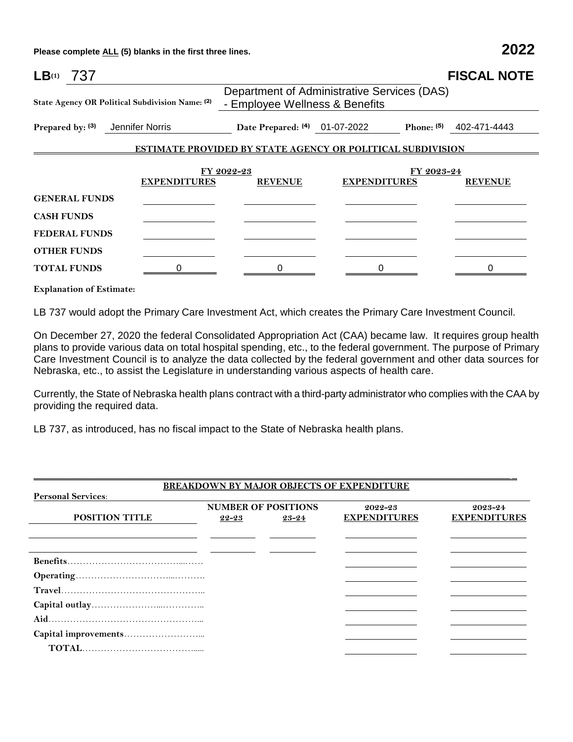**Please complete ALL (5) blanks in the first three lines. 2022**

| LB <sub>(1)</sub><br>737         |                                                 |                                                                               |                     |              | <b>FISCAL NOTE</b> |  |
|----------------------------------|-------------------------------------------------|-------------------------------------------------------------------------------|---------------------|--------------|--------------------|--|
|                                  | State Agency OR Political Subdivision Name: (2) | Department of Administrative Services (DAS)<br>- Employee Wellness & Benefits |                     |              |                    |  |
| Prepared by: (3) Jennifer Norris |                                                 | Date Prepared: (4) 01-07-2022                                                 |                     | Phone: $(5)$ | 402-471-4443       |  |
|                                  |                                                 | <b>ESTIMATE PROVIDED BY STATE AGENCY OR POLITICAL SUBDIVISION</b>             |                     |              |                    |  |
|                                  |                                                 | FY 2022-23                                                                    |                     | FY 2023-24   |                    |  |
|                                  | <b>EXPENDITURES</b>                             | <b>REVENUE</b>                                                                | <b>EXPENDITURES</b> |              | <b>REVENUE</b>     |  |
| <b>GENERAL FUNDS</b>             |                                                 |                                                                               |                     |              |                    |  |
| <b>CASH FUNDS</b>                |                                                 |                                                                               |                     |              |                    |  |
| <b>FEDERAL FUNDS</b>             |                                                 |                                                                               |                     |              |                    |  |
| <b>OTHER FUNDS</b>               |                                                 |                                                                               |                     |              |                    |  |
| <b>TOTAL FUNDS</b>               |                                                 |                                                                               |                     |              |                    |  |
| <b>Explanation of Estimate:</b>  |                                                 |                                                                               |                     |              |                    |  |

LB 737 would adopt the Primary Care Investment Act, which creates the Primary Care Investment Council.

On December 27, 2020 the federal Consolidated Appropriation Act (CAA) became law. It requires group health plans to provide various data on total hospital spending, etc., to the federal government. The purpose of Primary Care Investment Council is to analyze the data collected by the federal government and other data sources for Nebraska, etc., to assist the Legislature in understanding various aspects of health care.

Currently, the State of Nebraska health plans contract with a third-party administrator who complies with the CAA by providing the required data.

LB 737, as introduced, has no fiscal impact to the State of Nebraska health plans.

|                           |       |                            | <b>BREAKDOWN BY MAJOR OBJECTS OF EXPENDITURE</b> |                     |
|---------------------------|-------|----------------------------|--------------------------------------------------|---------------------|
| <b>Personal Services:</b> |       |                            |                                                  |                     |
|                           |       | <b>NUMBER OF POSITIONS</b> | 2022-23                                          | 2023-24             |
| <b>POSITION TITLE</b>     | 22-23 | 23-24                      | <b>EXPENDITURES</b>                              | <b>EXPENDITURES</b> |
|                           |       |                            |                                                  |                     |
|                           |       |                            |                                                  |                     |
|                           |       |                            |                                                  |                     |
|                           |       |                            |                                                  |                     |
|                           |       |                            |                                                  |                     |
|                           |       |                            |                                                  |                     |
|                           |       |                            |                                                  |                     |
|                           |       |                            |                                                  |                     |
|                           |       |                            |                                                  |                     |